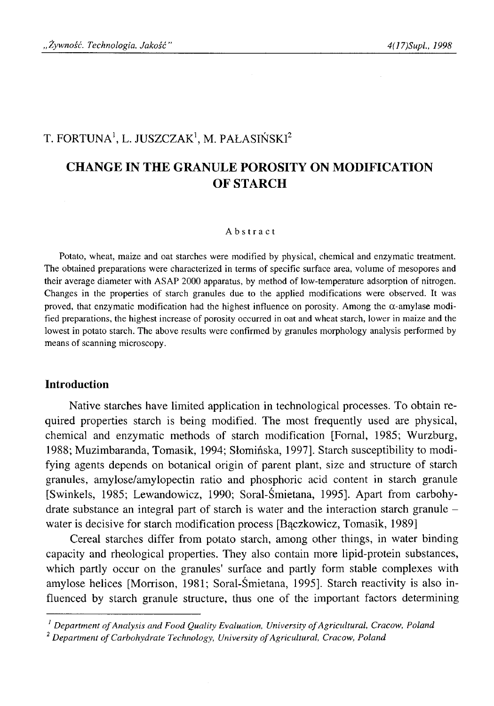# T. FORTUNA<sup>1</sup>, L. JUSZCZAK<sup>1</sup>, M. PAŁASIŃSKI<sup>2</sup>

# **CHANGE IN THE GRANULE POROSITY ON MODIFICATION OF STARCH**

#### Abstract

Potato, wheat, maize and oat starches were modified by physical, chemical and enzymatic treatment. The obtained preparations were characterized in terms of specific surface area, volume of mesopores and their average diameter with ASAP 2000 apparatus, by method of low-temperature adsorption of nitrogen. Changes in the properties of starch granules due to the applied modifications were observed. It was proved, that enzymatic modification had the highest influence on porosity. Among the  $\alpha$ -amylase modified preparations, the highest increase of porosity occurred in oat and wheat starch, lower in maize and the lowest in potato starch. The above results were confirmed by granules morphology analysis performed by means of scanning microscopy.

### **Introduction**

Native starches have limited application in technological processes. To obtain required properties starch is being modified. The most frequently used are physical, chemical and enzymatic methods of starch modification [Fornal, 1985; Wurzburg, 1988; Muzimbaranda, Tomasik, 1994; Słomińska, 1997]. Starch susceptibility to modifying agents depends on botanical origin of parent plant, size and structure of starch granules, amylose/amylopectin ratio and phosphoric acid content in starch granule [Swinkels, 1985; Lewandowicz, 1990; Soral-Śmietana, 1995]. Apart from carbohydrate substance an integral part of starch is water and the interaction starch granule water is decisive for starch modification process [Bączkowicz, Tomasik, 1989]

Cereal starches differ from potato starch, among other things, in water binding capacity and rheological properties. They also contain more lipid-protein substances, which partly occur on the granules' surface and partly form stable complexes with amylose helices [Morrison, 1981; Soral-Śmietana, 1995]. Starch reactivity is also influenced by starch granule structure, thus one of the important factors determining

<sup>&</sup>lt;sup>1</sup> Department of Analysis and Food Quality Evaluation, University of Agricultural, Cracow, Poland

<sup>&</sup>lt;sup>2</sup> Department of Carbohydrate Technology, University of Agricultural, Cracow, Poland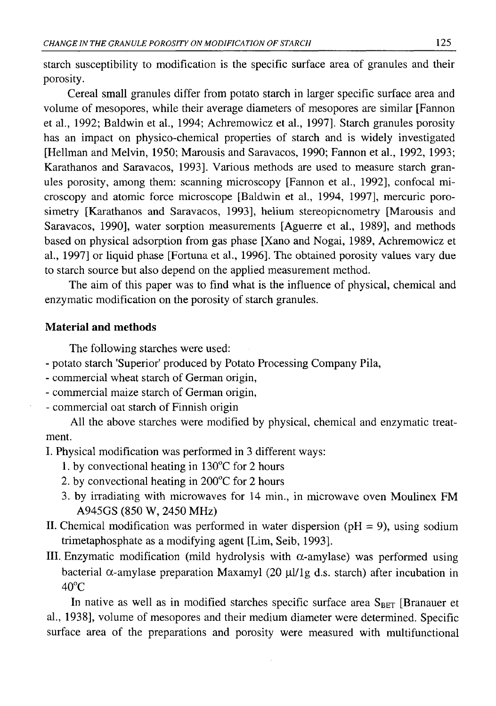starch susceptibility to modification is the specific surface area of granules and their porosity.

Cereal small granules differ from potato starch in larger specific surface area and volume of mesopores, while their average diameters of mesopores are similar [Fannon et al., 1992; Baldwin et al., 1994; Achremowicz et al., 1997]. Starch granules porosity has an impact on physico-chemical properties of starch and is widely investigated [Heilman and Melvin, 1950; Marousis and Saravacos, 1990; Fannon et al., 1992, 1993; Karathanos and Saravacos, 1993]. Various methods are used to measure starch granules porosity, among them: scanning microscopy [Fannon et al., 1992], confocal microscopy and atomic force microscope [Baldwin et al., 1994, 1997], mercuric porosimetry [Karathanos and Saravacos, 1993], helium stereopicnometry [Marousis and Saravacos, 1990], water sorption measurements [Aguerre et al., 1989], and methods based on physical adsorption from gas phase [Xano and Nogai, 1989, Achremowicz et al., 1997] or liquid phase [Fortuna et al., 1996]. The obtained porosity values vary due to starch source but also depend on the applied measurement method.

The aim of this paper was to find what is the influence of physical, chemical and enzymatic modification on the porosity of starch granules.

## **Material and methods**

The following starches were used:

- potato starch 'Superior' produced by Potato Processing Company Pila,
- commercial wheat starch of German origin,
- commercial maize starch of German origin,
- commercial oat starch of Finnish origin

All the above starches were modified by physical, chemical and enzymatic treatment.

I. Physical modification was performed in 3 different ways:

- 1. by convectional heating in 130°C for 2 hours
- 2. by convectional heating in 200°C for 2 hours
- 3. by irradiating with microwaves for 14 min., in microwave oven Moulinex FM A945GS (850 W, 2450 MHz)
- II. Chemical modification was performed in water dispersion ( $pH = 9$ ), using sodium trimetaphosphate as a modifying agent [Lim, Seib, 1993].
- III. Enzymatic modification (mild hydrolysis with  $\alpha$ -amylase) was performed using bacterial  $\alpha$ -amylase preparation Maxamyl (20 μl/1g d.s. starch) after incubation in  $40^{\circ}$ C

In native as well as in modified starches specific surface area  $S_{BET}$  [Branauer et al., 1938], volume of mesopores and their medium diameter were determined. Specific surface area of the preparations and porosity were measured with multifunctional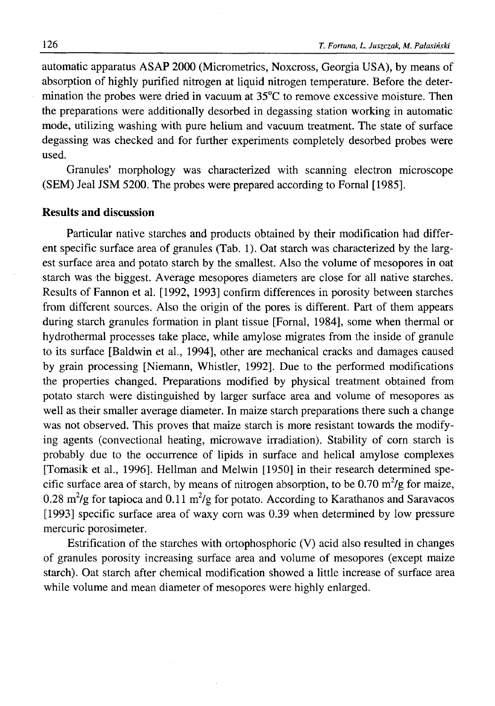automatic apparatus ASAP 2000 (Micrometrics, Noxcross, Georgia USA), by means of absorption of highly purified nitrogen at liquid nitrogen temperature. Before the determination the probes were dried in vacuum at 35°C to remove excessive moisture. Then the preparations were additionally desorbed in degassing station working in automatic mode, utilizing washing with pure helium and vacuum treatment. The state of surface degassing was checked and for further experiments completely desorbed probes were used.

Granules' morphology was characterized with scanning electron microscope (SEM) Jeal JSM 5200. The probes were prepared according to Fornal [1985].

## **Results and discussion**

Particular native starches and products obtained by their modification had different specific surface area of granules (Tab. 1). Oat starch was characterized by the largest surface area and potato starch by the smallest. Also the volume of mesopores in oat starch was the biggest. Average mesopores diameters are close for all native starches. Results of Fannon et al. [1992, 1993] confirm differences in porosity between starches from different sources. Also the origin of the pores is different. Part of them appears during starch granules formation in plant tissue [Fornal, 1984], some when thermal or hydrothermal processes take place, while amylose migrates from the inside of granule to its surface [Baldwin et al., 1994], other are mechanical cracks and damages caused by grain processing [Niemann, Whistler, 1992], Due to the performed modifications the properties changed. Preparations modified by physical treatment obtained from potato starch were distinguished by larger surface area and volume of mesopores as well as their smaller average diameter. In maize starch preparations there such a change was not observed. This proves that maize starch is more resistant towards the modifying agents (convectional heating, microwave irradiation). Stability of corn starch is probably due to the occurrence of lipids in surface and helical amylose complexes [Tomasik et al., 1996]. Heilman and Melwin [1950] in their research determined specific surface area of starch, by means of nitrogen absorption, to be 0.70  $m^2/g$  for maize, 0.28 m<sup>2</sup>/g for tapioca and 0.11 m<sup>2</sup>/g for potato. According to Karathanos and Saravacos [1993] specific surface area of waxy com was 0.39 when determined by low pressure mercuric porosimeter.

Estrification of the starches with ortophosphoric (V) acid also resulted in changes of granules porosity increasing surface area and volume of mesopores (except maize starch). Oat starch after chemical modification showed a little increase of surface area while volume and mean diameter of mesopores were highly enlarged.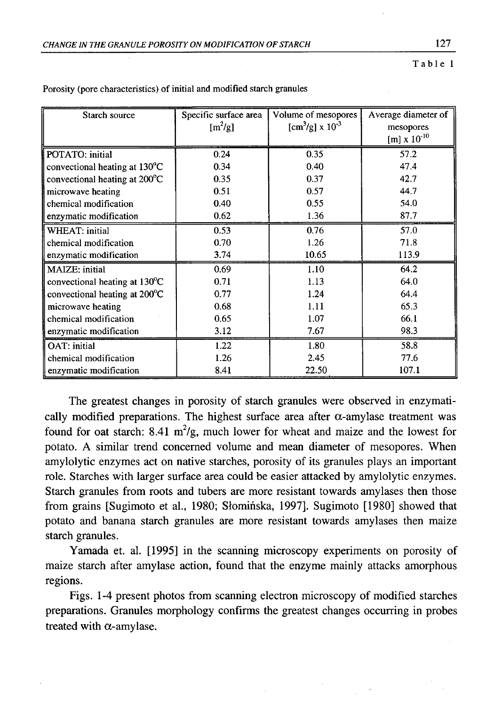| Starch source                           | Specific surface area<br>$[m^2/g]$ | Volume of mesopores<br>$[cm^3/g] \times 10^{-3}$ | Average diameter of<br>mesopores |
|-----------------------------------------|------------------------------------|--------------------------------------------------|----------------------------------|
|                                         |                                    |                                                  | $[m] \times 10^{-10}$            |
| POTATO: initial                         | 0.24                               | 0.35                                             | 57.2                             |
| convectional heating at $130^{\circ}$ C | 0.34                               | 0.40                                             | 47.4                             |
| convectional heating at 200°C           | 0.35                               | 0.37                                             | 42.7                             |
| microwave heating                       | 0.51                               | 0.57                                             | 44.7                             |
| chemical modification                   | 0.40                               | 0.55                                             | 54.0                             |
| enzymatic modification                  | 0.62                               | 1.36                                             | 87.7                             |
| WHEAT: initial                          | 0.53                               | 0.76                                             | 57.0                             |
| chemical modification                   | 0.70                               | 1.26                                             | 71.8                             |
| enzymatic modification                  | 3.74                               | 10.65                                            | 113.9                            |
| MAIZE: initial                          | 0.69                               | 1.10                                             | 64.2                             |
| convectional heating at 130°C           | 0.71                               | 1.13                                             | 64.0                             |
| convectional heating at 200°C           | 0.77                               | 1.24                                             | 64.4                             |
| microwave heating                       | 0.68                               | 1.11                                             | 65.3                             |
| chemical modification                   | 0.65                               | 1.07                                             | 66.1                             |
| enzymatic modification                  | 3.12                               | 7.67                                             | 98.3                             |
| <b>OAT:</b> initial                     | 1.22                               | 1.80                                             | 58.8                             |
| chemical modification                   | 1.26                               | 2.45                                             | 77.6                             |
| enzymatic modification                  | 8.41                               | 22.50                                            | 107.1                            |

Porosity (pore characteristics) of initial and modified starch granules

The greatest changes in porosity of starch granules were observed in enzymatically modified preparations. The highest surface area after  $\alpha$ -amylase treatment was found for oat starch: 8.41 m<sup>2</sup>/g, much lower for wheat and maize and the lowest for potato. A similar trend concerned volume and mean diameter of mesopores. When amylolytic enzymes act on native starches, porosity of its granules plays an important role. Starches with larger surface area could be easier attacked by amylolytic enzymes. Starch granules from roots and tubers are more resistant towards amylases then those from grains [Sugimoto et al., 1980; Słomińska, 1997]. Sugimoto [1980] showed that potato and banana starch granules are more resistant towards amylases then maize starch granules.

Yamada et. al. [1995] in the scanning microscopy experiments on porosity of maize starch after amylase action, found that the enzyme mainly attacks amorphous regions.

Figs. 1-4 present photos from scanning electron microscopy of modified starches preparations. Granules morphology confirms the greatest changes occurring in probes treated with  $\alpha$ -amylase.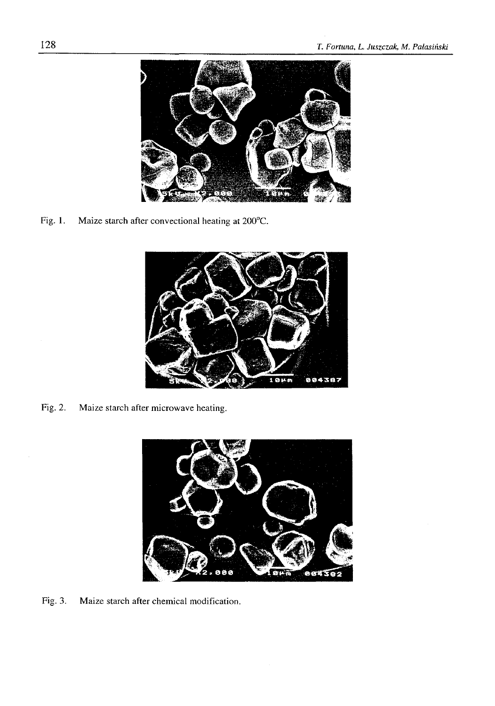

Fig. 1. Maize starch after convectional heating at 200°C.



Fig. 2. Maize starch after microwave heating.



Fig. 3. Maize starch after chemical modification.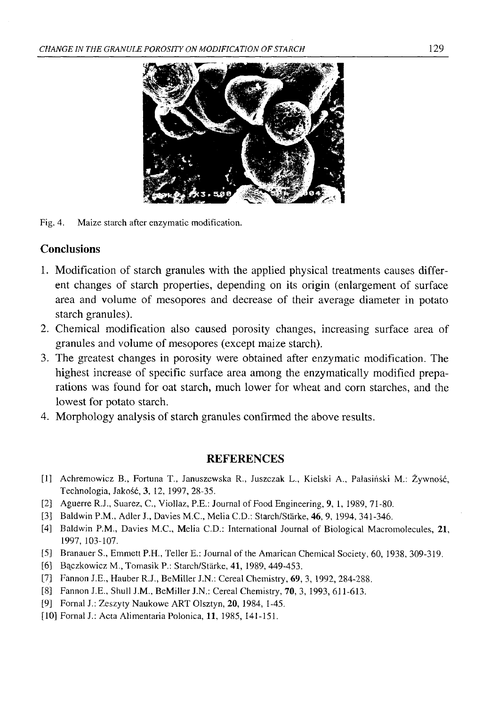

Fig. 4. Maize starch after enzymatic modification.

# **Conclusions**

- 1. Modification of starch granules with the applied physical treatments causes different changes of starch properties, depending on its origin (enlargement of surface area and volume of mesopores and decrease of their average diameter in potato starch granules).
- 2. Chemical modification also caused porosity changes, increasing surface area of granules and volume of mesopores (except maize starch).
- 3. The greatest changes in porosity were obtained after enzymatic modification. The highest increase of specific surface area among the enzymatically modified preparations was found for oat starch, much lower for wheat and corn starches, and the lowest for potato starch.
- 4. Morphology analysis of starch granules confirmed the above results.

## **REFERENCES**

- [1] Achremowicz B., Fortuna T., Januszewska R., Juszczak L., Kielski A., Pałasiński M.: Żywność, Technologia, Jakość, 3, 12, 1997, 28-35.
- [2] Aguerre R.J., Suarez, C., Viollaz, P.E.: Journal of Food Engineering, 9, 1, 1989, 71-80.
- [3] Baldwin P.M., Adler J., Davies M.C., Melia C.D.: Starch/Stärke, 46, 9, 1994, 341-346.
- [4] Baldwin P.M., Davies M.C., Melia C.D.: International Journal of Biological Macromolecules, 21, 1997, 103-107.
- [5] Branauer S., Emmett P.H., Teller E.: Journal of the Amarican Chemical Society, 60, 1938, 309-319.
- [6] Bączkowicz M., Tomasik P.: Starch/Stärke, 41, 1989, 449-453.
- [7] Fannon J.E., Hauber R.J., BeMiller J.N.: Cereal Chemistry, 69, 3, 1992, 284-288.
- [8] Fannon J.E., Shull J.M., BeMiller J.N.: Cereal Chemistry, 70, 3, 1993, 611-613.
- [9] Fornal J.: Zeszyty Naukowe ART Olsztyn, 20, 1984, 1-45.
- [10] Fornal J.: Acta Alimentaria Polonica, 11, 1985, 141-151.